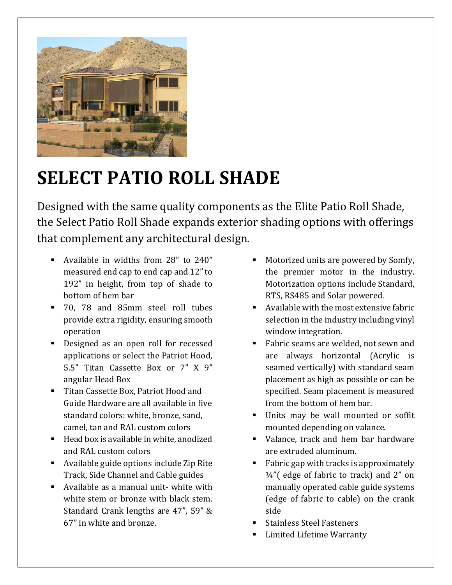

## **SELECT PATIO ROLL SHADE**

Designed with the same quality components as the Elite Patio Roll Shade, the Select Patio Roll Shade expands exterior shading options with offerings that complement any architectural design.

- Available in widths from 28" to 240" measured end cap to end cap and 12" to 192" in height, from top of shade to bottom of hem bar
- 70, 78 and 85mm steel roll tubes provide extra rigidity, ensuring smooth operation
- Designed as an open roll for recessed applications or select the Patriot Hood, 5.5" Titan Cassette Box or 7" X 9" angular Head Box
- Titan Cassette Box, Patriot Hood and Guide Hardware are all available in five standard colors: white, bronze, sand, camel, tan and RAL custom colors
- Head box is available in white, anodized and RAL custom colors
- Available guide options include Zip Rite Track, Side Channel and Cable guides
- Available as a manual unit- white with white stem or bronze with black stem. Standard Crank lengths are 47", 59" & 67" in white and bronze.
- Motorized units are powered by Somfy, the premier motor in the industry. Motorization options include Standard, RTS, RS485 and Solar powered.
- Available with the most extensive fabric selection in the industry including vinyl window integration.
- Fabric seams are welded, not sewn and are always horizontal (Acrylic is seamed vertically) with standard seam placement as high as possible or can be specified. Seam placement is measured from the bottom of hem bar.
- Units may be wall mounted or soffit mounted depending on valance.
- Valance, track and hem bar hardware are extruded aluminum.
- Fabric gap with tracks is approximately  $\frac{1}{4}$ "(edge of fabric to track) and 2" on manually operated cable guide systems (edge of fabric to cable) on the crank side
- Stainless Steel Fasteners
- Limited Lifetime Warranty